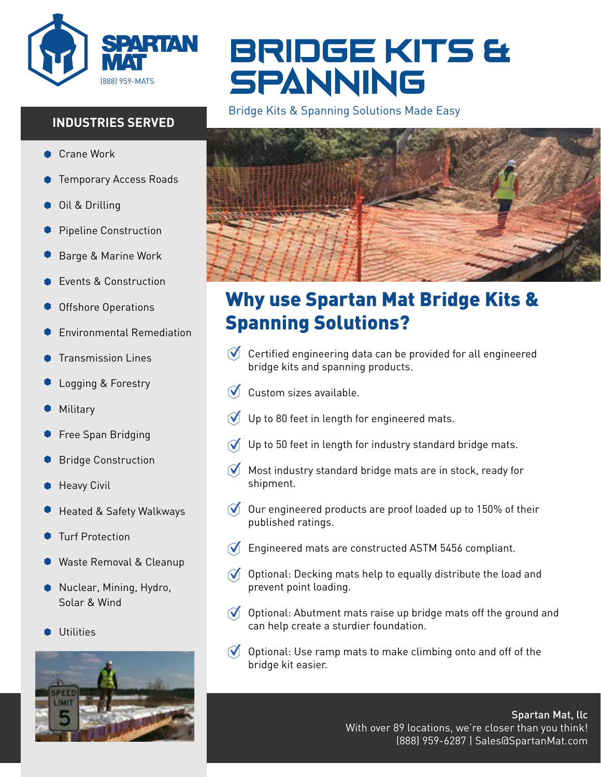

## **INDUSTRIES SERVED**

- Crane Work
- Temporary Access Roads
- Oil & Drilling
- Pipeline Construction
- Barge & Marine Work
- Events & Construction
- Offshore Operations
- Environmental Remediation
- Transmission Lines
- Logging & Forestry
- Military
- Free Span Bridging
- Bridge Construction
- Heavy Civil
- Heated & Safety Walkways
- Turf Protection
- Waste Removal & Cleanup
- Nuclear, Mining, Hydro, Solar & Wind
- **Utilities**



# BRIDGE KITS & SPANNING

Bridge Kits & Spanning Solutions Made Easy



## Why use Spartan Mat Bridge Kits & Spanning Solutions?

- $\mathcal O$  Certified engineering data can be provided for all engineered bridge kits and spanning products.
- $\mathbf{M}$ Custom sizes available.
- Up to 80 feet in length for engineered mats.
- Up to 50 feet in length for industry standard bridge mats.  $\mathbf{M}$
- $\mathcal{N}_-$ Most industry standard bridge mats are in stock, ready for shipment.
- $\mathcal O$  Our engineered products are proof loaded up to 150% of their published ratings.
- Engineered mats are constructed ASTM 5456 compliant.
- $\widetilde{O}$  Optional: Decking mats help to equally distribute the load and prevent point loading.
- $\hat{O}$  Optional: Abutment mats raise up bridge mats off the ground and can help create a sturdier foundation.
- $\bullet$  Optional: Use ramp mats to make climbing onto and off of the bridge kit easier.